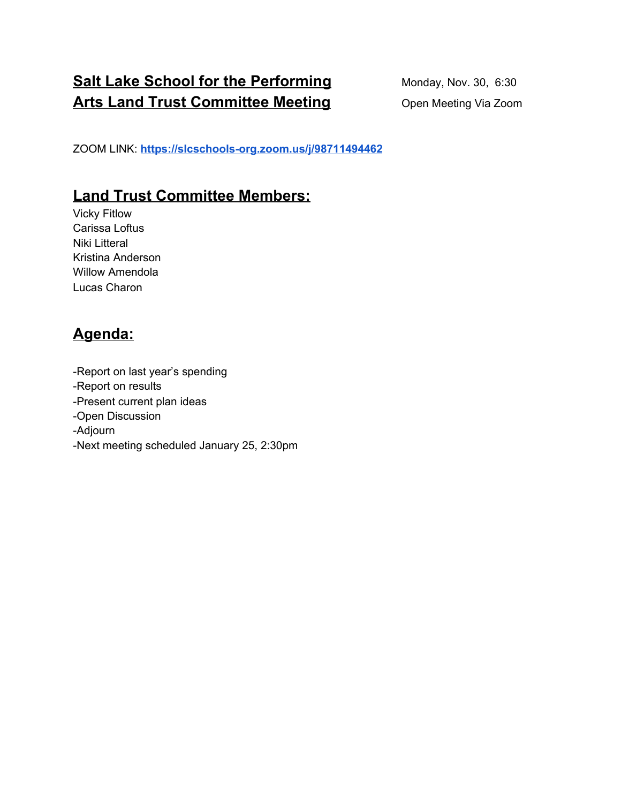## **Salt Lake School for the Performing** Monday, Nov. 30, 6:30 Arts Land Trust Committee Meeting **Open Meeting Via Zoom**

ZOOM LINK: **<https://slcschools-org.zoom.us/j/98711494462>**

## **Land Trust Committee Members:**

Vicky Fitlow Carissa Loftus Niki Litteral Kristina Anderson Willow Amendola Lucas Charon

## **Agenda:**

-Report on last year's spending -Report on results -Present current plan ideas -Open Discussion -Adjourn -Next meeting scheduled January 25, 2:30pm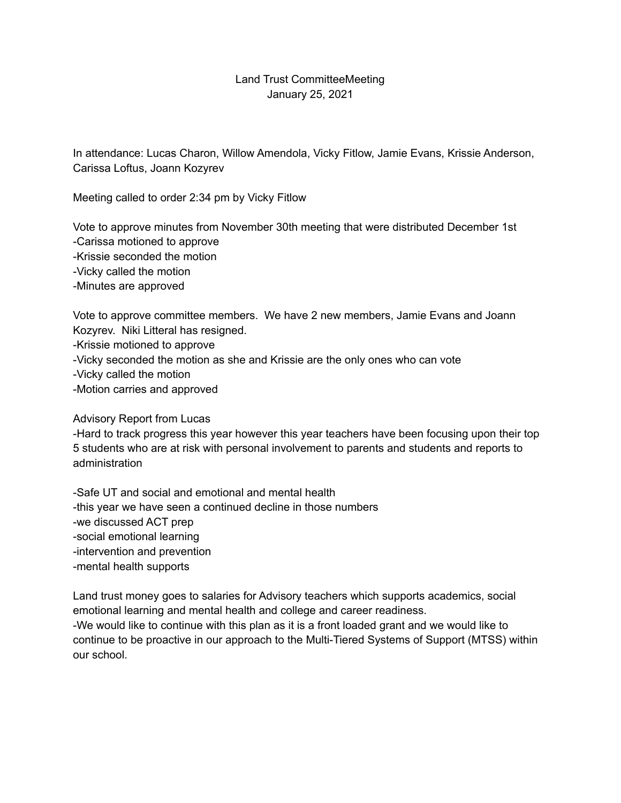## Land Trust CommitteeMeeting January 25, 2021

In attendance: Lucas Charon, Willow Amendola, Vicky Fitlow, Jamie Evans, Krissie Anderson, Carissa Loftus, Joann Kozyrev

Meeting called to order 2:34 pm by Vicky Fitlow

Vote to approve minutes from November 30th meeting that were distributed December 1st -Carissa motioned to approve -Krissie seconded the motion -Vicky called the motion -Minutes are approved

Vote to approve committee members. We have 2 new members, Jamie Evans and Joann Kozyrev. Niki Litteral has resigned. -Krissie motioned to approve -Vicky seconded the motion as she and Krissie are the only ones who can vote -Vicky called the motion -Motion carries and approved

Advisory Report from Lucas

-Hard to track progress this year however this year teachers have been focusing upon their top 5 students who are at risk with personal involvement to parents and students and reports to administration

-Safe UT and social and emotional and mental health -this year we have seen a continued decline in those numbers -we discussed ACT prep -social emotional learning -intervention and prevention -mental health supports

Land trust money goes to salaries for Advisory teachers which supports academics, social emotional learning and mental health and college and career readiness. -We would like to continue with this plan as it is a front loaded grant and we would like to continue to be proactive in our approach to the Multi-Tiered Systems of Support (MTSS) within our school.